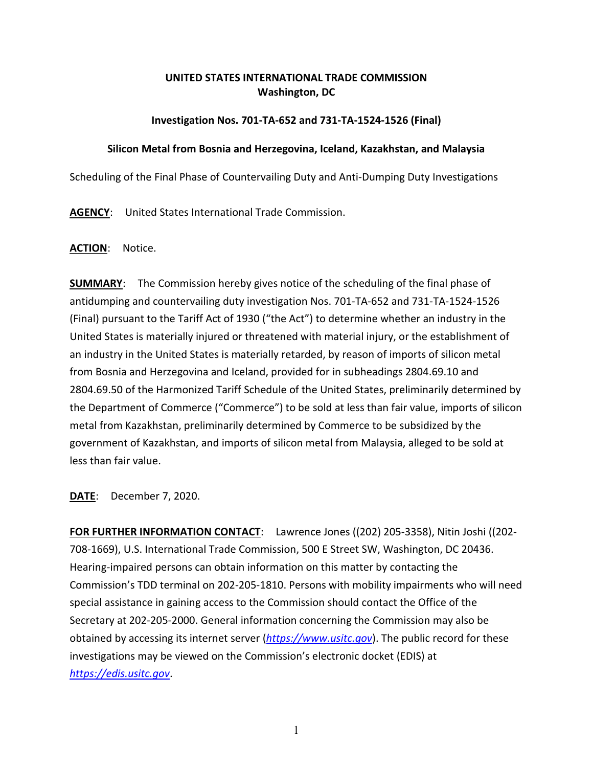# **UNITED STATES INTERNATIONAL TRADE COMMISSION Washington, DC**

### **Investigation Nos. 701-TA-652 and 731-TA-1524-1526 (Final)**

### **Silicon Metal from Bosnia and Herzegovina, Iceland, Kazakhstan, and Malaysia**

Scheduling of the Final Phase of Countervailing Duty and Anti-Dumping Duty Investigations

**AGENCY**: United States International Trade Commission.

## **ACTION**: Notice.

**SUMMARY**: The Commission hereby gives notice of the scheduling of the final phase of antidumping and countervailing duty investigation Nos. 701-TA-652 and 731-TA-1524-1526 (Final) pursuant to the Tariff Act of 1930 ("the Act") to determine whether an industry in the United States is materially injured or threatened with material injury, or the establishment of an industry in the United States is materially retarded, by reason of imports of silicon metal from Bosnia and Herzegovina and Iceland, provided for in subheadings 2804.69.10 and 2804.69.50 of the Harmonized Tariff Schedule of the United States, preliminarily determined by the Department of Commerce ("Commerce") to be sold at less than fair value, imports of silicon metal from Kazakhstan, preliminarily determined by Commerce to be subsidized by the government of Kazakhstan, and imports of silicon metal from Malaysia, alleged to be sold at less than fair value.

**DATE**: December 7, 2020.

**FOR FURTHER INFORMATION CONTACT**: Lawrence Jones ((202) 205-3358), Nitin Joshi ((202- 708-1669), U.S. International Trade Commission, 500 E Street SW, Washington, DC 20436. Hearing-impaired persons can obtain information on this matter by contacting the Commission's TDD terminal on 202-205-1810. Persons with mobility impairments who will need special assistance in gaining access to the Commission should contact the Office of the Secretary at 202-205-2000. General information concerning the Commission may also be obtained by accessing its internet server (*[https://www.usitc.gov](https://www.usitc.gov/)*). The public record for these investigations may be viewed on the Commission's electronic docket (EDIS) at *[https://edis.usitc.gov](https://edis.usitc.gov/)*.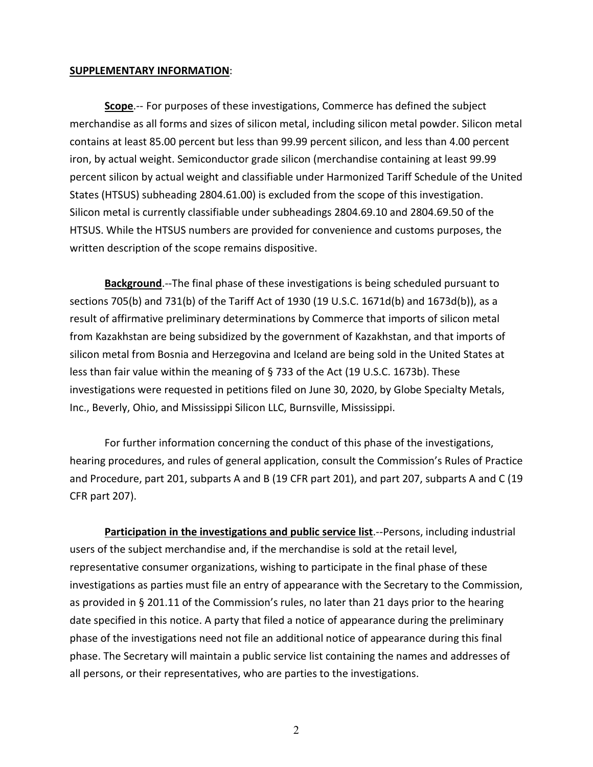#### **SUPPLEMENTARY INFORMATION**:

**Scope**.-- For purposes of these investigations, Commerce has defined the subject merchandise as all forms and sizes of silicon metal, including silicon metal powder. Silicon metal contains at least 85.00 percent but less than 99.99 percent silicon, and less than 4.00 percent iron, by actual weight. Semiconductor grade silicon (merchandise containing at least 99.99 percent silicon by actual weight and classifiable under Harmonized Tariff Schedule of the United States (HTSUS) subheading 2804.61.00) is excluded from the scope of this investigation. Silicon metal is currently classifiable under subheadings 2804.69.10 and 2804.69.50 of the HTSUS. While the HTSUS numbers are provided for convenience and customs purposes, the written description of the scope remains dispositive.

**Background**.--The final phase of these investigations is being scheduled pursuant to sections 705(b) and 731(b) of the Tariff Act of 1930 (19 U.S.C. 1671d(b) and 1673d(b)), as a result of affirmative preliminary determinations by Commerce that imports of silicon metal from Kazakhstan are being subsidized by the government of Kazakhstan, and that imports of silicon metal from Bosnia and Herzegovina and Iceland are being sold in the United States at less than fair value within the meaning of § 733 of the Act (19 U.S.C. 1673b). These investigations were requested in petitions filed on June 30, 2020, by Globe Specialty Metals, Inc., Beverly, Ohio, and Mississippi Silicon LLC, Burnsville, Mississippi.

For further information concerning the conduct of this phase of the investigations, hearing procedures, and rules of general application, consult the Commission's Rules of Practice and Procedure, part 201, subparts A and B (19 CFR part 201), and part 207, subparts A and C (19 CFR part 207).

**Participation in the investigations and public service list.**--Persons, including industrial users of the subject merchandise and, if the merchandise is sold at the retail level, representative consumer organizations, wishing to participate in the final phase of these investigations as parties must file an entry of appearance with the Secretary to the Commission, as provided in § 201.11 of the Commission's rules, no later than 21 days prior to the hearing date specified in this notice. A party that filed a notice of appearance during the preliminary phase of the investigations need not file an additional notice of appearance during this final phase. The Secretary will maintain a public service list containing the names and addresses of all persons, or their representatives, who are parties to the investigations.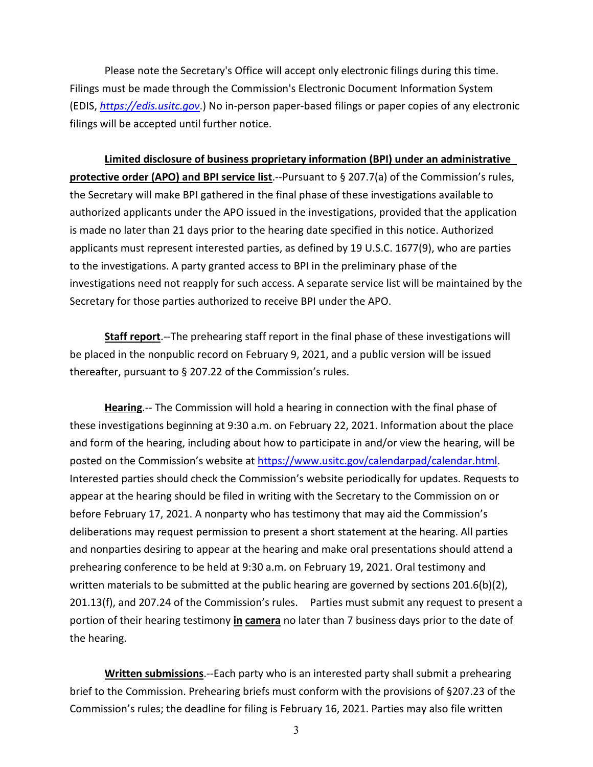Please note the Secretary's Office will accept only electronic filings during this time. Filings must be made through the Commission's Electronic Document Information System (EDIS, *[https://edis.usitc.gov](https://edis.usitc.gov/)*.) No in-person paper-based filings or paper copies of any electronic filings will be accepted until further notice.

**Limited disclosure of business proprietary information (BPI) under an administrative protective order (APO) and BPI service list**.--Pursuant to § 207.7(a) of the Commission's rules, the Secretary will make BPI gathered in the final phase of these investigations available to authorized applicants under the APO issued in the investigations, provided that the application is made no later than 21 days prior to the hearing date specified in this notice. Authorized applicants must represent interested parties, as defined by 19 U.S.C. 1677(9), who are parties to the investigations. A party granted access to BPI in the preliminary phase of the investigations need not reapply for such access. A separate service list will be maintained by the Secretary for those parties authorized to receive BPI under the APO.

**Staff report**.--The prehearing staff report in the final phase of these investigations will be placed in the nonpublic record on February 9, 2021, and a public version will be issued thereafter, pursuant to § 207.22 of the Commission's rules.

**Hearing**.-- The Commission will hold a hearing in connection with the final phase of these investigations beginning at 9:30 a.m. on February 22, 2021. Information about the place and form of the hearing, including about how to participate in and/or view the hearing, will be posted on the Commission's website at [https://www.usitc.gov/calendarpad/calendar.html.](https://www.usitc.gov/calendarpad/calendar.html) Interested parties should check the Commission's website periodically for updates. Requests to appear at the hearing should be filed in writing with the Secretary to the Commission on or before February 17, 2021. A nonparty who has testimony that may aid the Commission's deliberations may request permission to present a short statement at the hearing. All parties and nonparties desiring to appear at the hearing and make oral presentations should attend a prehearing conference to be held at 9:30 a.m. on February 19, 2021. Oral testimony and written materials to be submitted at the public hearing are governed by sections  $201.6(b)(2)$ , 201.13(f), and 207.24 of the Commission's rules. Parties must submit any request to present a portion of their hearing testimony **in camera** no later than 7 business days prior to the date of the hearing.

**Written submissions**.--Each party who is an interested party shall submit a prehearing brief to the Commission. Prehearing briefs must conform with the provisions of §207.23 of the Commission's rules; the deadline for filing is February 16, 2021. Parties may also file written